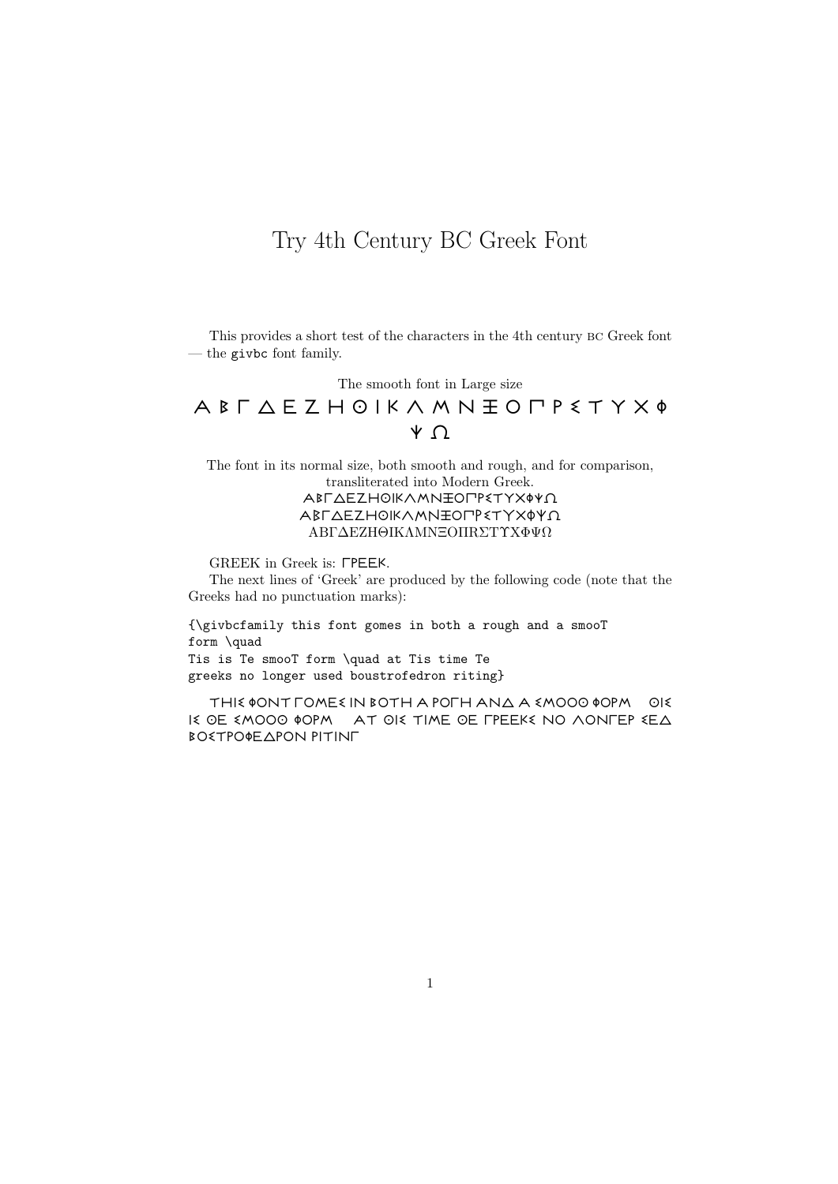## Try 4th Century BC Greek Font

This provides a short test of the characters in the 4th century bc Greek font — the givbc font family.

The smooth font in Large size

## $A$  B  $\Gamma$   $\Delta$  E Z H  $\odot$  I K  $\land$  M N  $\pm$  O  $\Gamma$  P  $\leq$  T Y X  $\phi$  $\sqrt{2}$

The font in its normal size, both smooth and rough, and for comparison, transliterated into Modern Greek. ΑΒΓΔΕΖΗΘΙΚΛΜΝΞΟΠΡ٤ΤΥΧΦΨΩ ΑΒΓΔΕΖΗΘΙΚΛΜΝΞΟΠΡετΥΧΦΨΩ ABΓ∆EZHΘIKΛMNΞOΠRΣTΥXΦΨΩ

GREEK in Greek is: FPEEK.

The next lines of 'Greek' are produced by the following code (note that the Greeks had no punctuation marks):

{\givbcfamily this font gomes in both a rough and a smooT form \quad Tis is Te smooT form \quad at Tis time Te greeks no longer used boustrofedron riting}

THIS OONT FOMES IN BOTH A POFH ANA A SMOOO OOPM OIS I $\le$  OE  $\le$  mooo  $\phi$ opm at OI $\le$  time oe fpeek $\le$  no aonfep  $\le$  E $\triangle$ **BOSTPOOE APON PITINE**